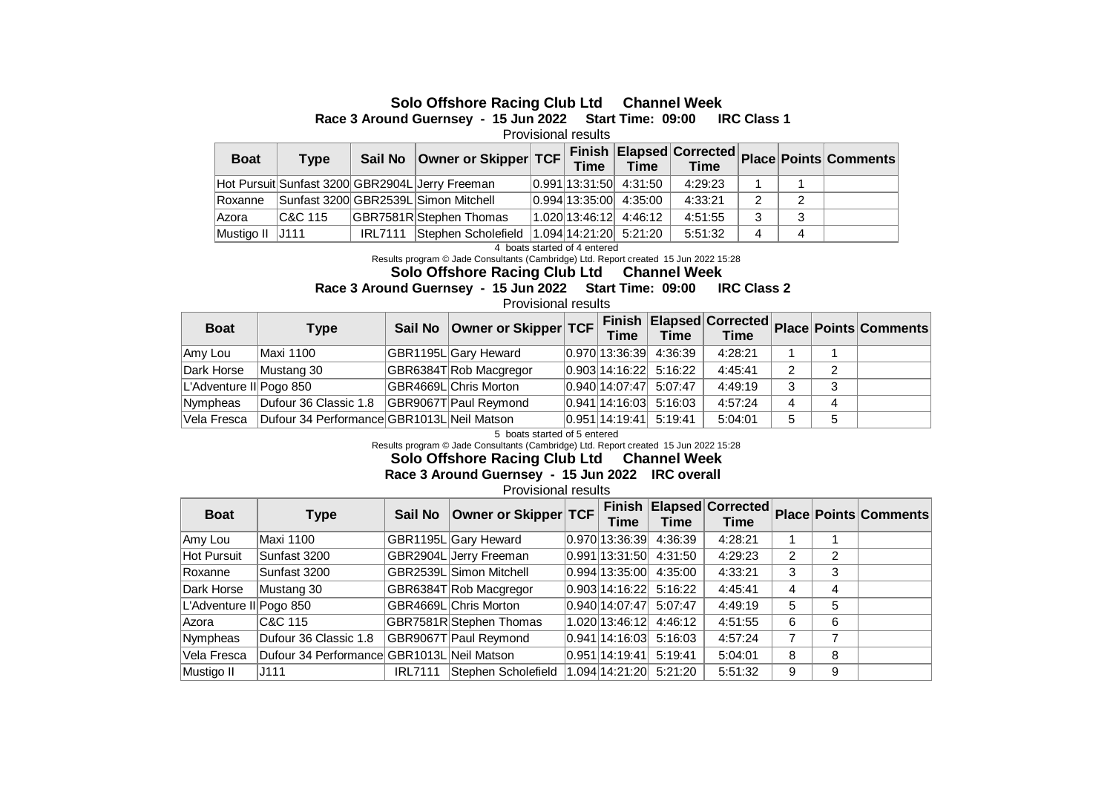## **Solo Offshore Racing Club Ltd Channel Week**

**Race 3 Around Guernsey - 15 Jun 2022 Start Time: 09:00 IRC Class 1** 

Provisional results

| <b>Boat</b>     | <b>Type</b> |                | Sail No   Owner or Skipper   TCF                |                          |                           |         |   |   | __ Finish  Elapsed Corrected  Place  Points   Comments |
|-----------------|-------------|----------------|-------------------------------------------------|--------------------------|---------------------------|---------|---|---|--------------------------------------------------------|
|                 |             |                | Hot Pursuit Sunfast 3200 GBR2904L Jerry Freeman |                          | $ 0.991 13:31:50$ 4:31:50 | 4:29:23 |   |   |                                                        |
| Roxanne         |             |                | Sunfast 3200 GBR2539L Simon Mitchell            |                          | $ 0.994 13:35:00$ 4:35:00 | 4:33:21 |   | 2 |                                                        |
| Azora           | IC&C 115    |                | GBR7581R Stephen Thomas                         | $1.020$ 13:46:12 4:46:12 |                           | 4:51:55 | 3 | 3 |                                                        |
| Mustigo II J111 |             | <b>IRL7111</b> | Stephen Scholefield                             |                          | 1.094 14:21:20 5:21:20    | 5:51:32 |   | 4 |                                                        |

4 boats started of 4 entered

Results program © Jade Consultants (Cambridge) Ltd. Report created 15 Jun 2022 15:28

**Solo Offshore Racing Club Ltd Channel Week**

## **Race 3 Around Guernsey - 15 Jun 2022 Start Time: 09:00 IRC Class 2**

Provisional results

| <b>Boat</b>             | Type                                       | Sail No   Owner or Skipper   TCF | <b>Time</b> | <b>Time</b>               | <b>Time</b> |   |  |
|-------------------------|--------------------------------------------|----------------------------------|-------------|---------------------------|-------------|---|--|
| Amy Lou                 | Maxi 1100                                  | GBR1195L Gary Heward             |             | $ 0.970 13:36:39$ 4:36:39 | 4:28:21     |   |  |
| Dark Horse              | Mustang 30                                 | GBR6384T Rob Macgregor           |             | 0.903 14:16:22 5:16:22    | 4:45:41     | 2 |  |
| L'Adventure II Pogo 850 |                                            | GBR4669L Chris Morton            |             | $ 0.940 14:07:47$ 5:07:47 | 4:49:19     | 3 |  |
| Nympheas                | Dufour 36 Classic 1.8                      | GBR9067T Paul Reymond            |             | $ 0.941 14:16:03$ 5:16:03 | 4:57:24     |   |  |
| Vela Fresca             | Dufour 34 Performance GBR1013L Neil Matson |                                  |             | $ 0.951 14:19:41$ 5:19:41 | 5:04:01     | 5 |  |

5 boats started of 5 entered

Results program © Jade Consultants (Cambridge) Ltd. Report created 15 Jun 2022 15:28

**Solo Offshore Racing Club Ltd Channel Week**

**Race 3 Around Guernsey - 15 Jun 2022 IRC overall** 

Provisional results

| <b>Boat</b>             | <b>Type</b>                                | Sail No        | Owner or Skipper TCF    | <b>Finish</b><br>Time | <b>Time</b>            | Time    |                |   | <b>Elapsed Corrected Place Points Comments</b> |
|-------------------------|--------------------------------------------|----------------|-------------------------|-----------------------|------------------------|---------|----------------|---|------------------------------------------------|
| Amy Lou                 | Maxi 1100                                  |                | GBR1195L Gary Heward    | $0.970$ 13:36:39      | 4:36:39                | 4:28:21 |                |   |                                                |
| <b>Hot Pursuit</b>      | Sunfast 3200                               |                | GBR2904L Jerry Freeman  |                       | 0.991 13:31:50 4:31:50 | 4:29:23 | $\overline{2}$ | 2 |                                                |
| Roxanne                 | Sunfast 3200                               |                | GBR2539L Simon Mitchell | 0.994 13:35:00        | 4:35:00                | 4:33:21 | 3              | 3 |                                                |
| Dark Horse              | Mustang 30                                 |                | GBR6384T Rob Macgregor  | 0.903 14:16:22        | 5:16:22                | 4:45:41 | 4              | 4 |                                                |
| L'Adventure II Pogo 850 |                                            |                | GBR4669L Chris Morton   | 0.940 14:07:47        | 5:07:47                | 4:49:19 | 5              | 5 |                                                |
| Azora                   | C&C 115                                    |                | GBR7581R Stephen Thomas | 1.020 13:46:12        | 4:46:12                | 4:51:55 | 6              | 6 |                                                |
| Nympheas                | Dufour 36 Classic 1.8                      |                | GBR9067T Paul Reymond   | 0.941 14:16:03        | 5:16:03                | 4:57:24 | 7              |   |                                                |
| Vela Fresca             | Dufour 34 Performance GBR1013L Neil Matson |                |                         | 0.951 14:19:41        | 5:19:41                | 5:04:01 | 8              | 8 |                                                |
| Mustigo II              | J111                                       | <b>IRL7111</b> | Stephen Scholefield     | 1.094 14:21:20        | 5:21:20                | 5:51:32 | 9              | 9 |                                                |